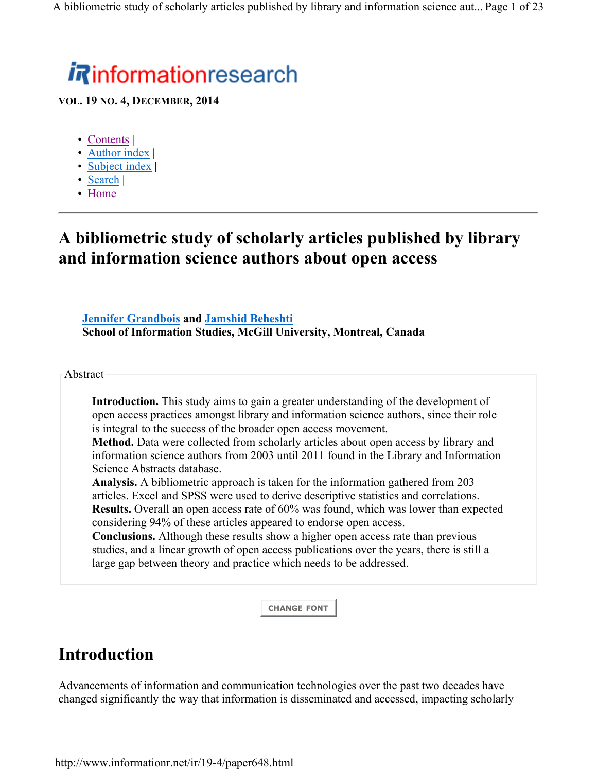# *i R*informationresearch

**VOL. 19 NO. 4, DECEMBER, 2014**

- Contents |
- Author index |
- Subject index |
- Search |
- Home

## **A bibliometric study of scholarly articles published by library and information science authors about open access**

**Jennifer Grandbois and Jamshid Beheshti School of Information Studies, McGill University, Montreal, Canada**

Abstract

**Introduction.** This study aims to gain a greater understanding of the development of open access practices amongst library and information science authors, since their role is integral to the success of the broader open access movement.

**Method.** Data were collected from scholarly articles about open access by library and information science authors from 2003 until 2011 found in the Library and Information Science Abstracts database.

**Analysis.** A bibliometric approach is taken for the information gathered from 203 articles. Excel and SPSS were used to derive descriptive statistics and correlations. **Results.** Overall an open access rate of 60% was found, which was lower than expected considering 94% of these articles appeared to endorse open access.

**Conclusions.** Although these results show a higher open access rate than previous studies, and a linear growth of open access publications over the years, there is still a large gap between theory and practice which needs to be addressed.

**CHANGE FONT**

# **Introduction**

Advancements of information and communication technologies over the past two decades have changed significantly the way that information is disseminated and accessed, impacting scholarly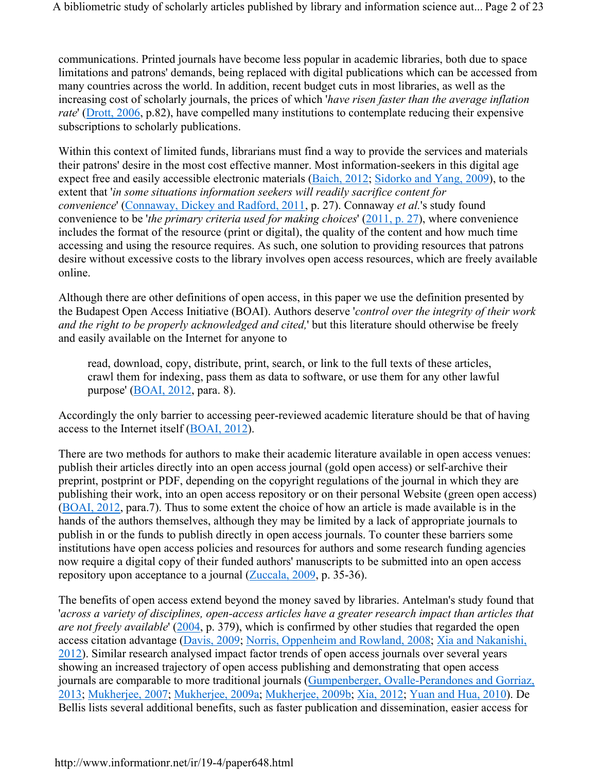communications. Printed journals have become less popular in academic libraries, both due to space limitations and patrons' demands, being replaced with digital publications which can be accessed from many countries across the world. In addition, recent budget cuts in most libraries, as well as the increasing cost of scholarly journals, the prices of which '*have risen faster than the average inflation rate*' (Drott, 2006, p.82), have compelled many institutions to contemplate reducing their expensive subscriptions to scholarly publications.

Within this context of limited funds, librarians must find a way to provide the services and materials their patrons' desire in the most cost effective manner. Most information-seekers in this digital age expect free and easily accessible electronic materials (Baich, 2012; Sidorko and Yang, 2009), to the extent that '*in some situations information seekers will readily sacrifice content for convenience*' (Connaway, Dickey and Radford, 2011, p. 27). Connaway *et al.*'s study found convenience to be '*the primary criteria used for making choices*' (2011, p. 27), where convenience includes the format of the resource (print or digital), the quality of the content and how much time accessing and using the resource requires. As such, one solution to providing resources that patrons desire without excessive costs to the library involves open access resources, which are freely available online.

Although there are other definitions of open access, in this paper we use the definition presented by the Budapest Open Access Initiative (BOAI). Authors deserve '*control over the integrity of their work and the right to be properly acknowledged and cited,*' but this literature should otherwise be freely and easily available on the Internet for anyone to

read, download, copy, distribute, print, search, or link to the full texts of these articles, crawl them for indexing, pass them as data to software, or use them for any other lawful purpose' (BOAI, 2012, para. 8).

Accordingly the only barrier to accessing peer-reviewed academic literature should be that of having access to the Internet itself (BOAI, 2012).

There are two methods for authors to make their academic literature available in open access venues: publish their articles directly into an open access journal (gold open access) or self-archive their preprint, postprint or PDF, depending on the copyright regulations of the journal in which they are publishing their work, into an open access repository or on their personal Website (green open access) (BOAI, 2012, para.7). Thus to some extent the choice of how an article is made available is in the hands of the authors themselves, although they may be limited by a lack of appropriate journals to publish in or the funds to publish directly in open access journals. To counter these barriers some institutions have open access policies and resources for authors and some research funding agencies now require a digital copy of their funded authors' manuscripts to be submitted into an open access repository upon acceptance to a journal (Zuccala, 2009, p. 35-36).

The benefits of open access extend beyond the money saved by libraries. Antelman's study found that '*across a variety of disciplines, open-access articles have a greater research impact than articles that are not freely available*' (2004, p. 379), which is confirmed by other studies that regarded the open access citation advantage (Davis, 2009; Norris, Oppenheim and Rowland, 2008; Xia and Nakanishi, 2012). Similar research analysed impact factor trends of open access journals over several years showing an increased trajectory of open access publishing and demonstrating that open access journals are comparable to more traditional journals (Gumpenberger, Ovalle-Perandones and Gorriaz, 2013; Mukherjee, 2007; Mukherjee, 2009a; Mukherjee, 2009b; Xia, 2012; Yuan and Hua, 2010). De Bellis lists several additional benefits, such as faster publication and dissemination, easier access for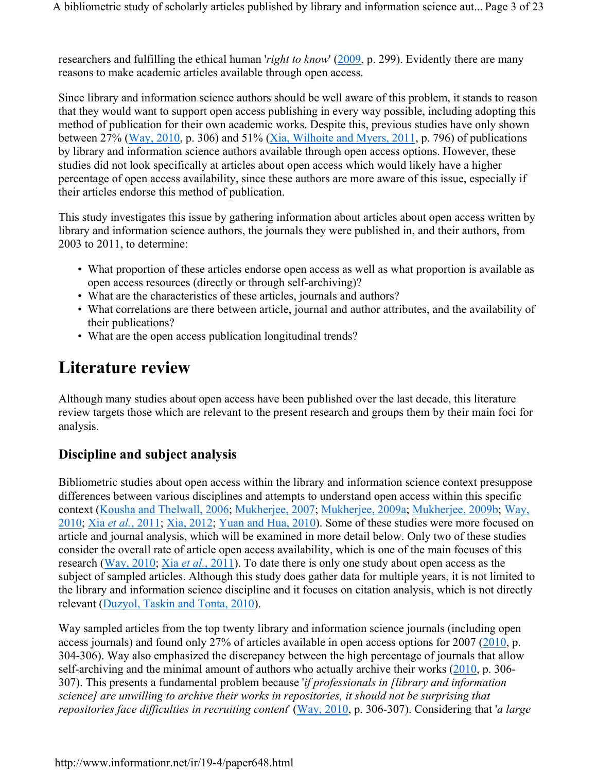researchers and fulfilling the ethical human *'right to know'* (2009, p. 299). Evidently there are many reasons to make academic articles available through open access.

Since library and information science authors should be well aware of this problem, it stands to reason that they would want to support open access publishing in every way possible, including adopting this method of publication for their own academic works. Despite this, previous studies have only shown between 27% (Way, 2010, p. 306) and 51% (Xia, Wilhoite and Myers, 2011, p. 796) of publications by library and information science authors available through open access options. However, these studies did not look specifically at articles about open access which would likely have a higher percentage of open access availability, since these authors are more aware of this issue, especially if their articles endorse this method of publication.

This study investigates this issue by gathering information about articles about open access written by library and information science authors, the journals they were published in, and their authors, from 2003 to 2011, to determine:

- What proportion of these articles endorse open access as well as what proportion is available as open access resources (directly or through self-archiving)?
- What are the characteristics of these articles, journals and authors?
- What correlations are there between article, journal and author attributes, and the availability of their publications?
- What are the open access publication longitudinal trends?

# **Literature review**

Although many studies about open access have been published over the last decade, this literature review targets those which are relevant to the present research and groups them by their main foci for analysis.

#### **Discipline and subject analysis**

Bibliometric studies about open access within the library and information science context presuppose differences between various disciplines and attempts to understand open access within this specific context (Kousha and Thelwall, 2006; Mukherjee, 2007; Mukherjee, 2009a; Mukherjee, 2009b; Way, 2010; Xia *et al.*, 2011; Xia, 2012; Yuan and Hua, 2010). Some of these studies were more focused on article and journal analysis, which will be examined in more detail below. Only two of these studies consider the overall rate of article open access availability, which is one of the main focuses of this research (Way, 2010; Xia *et al.*, 2011). To date there is only one study about open access as the subject of sampled articles. Although this study does gather data for multiple years, it is not limited to the library and information science discipline and it focuses on citation analysis, which is not directly relevant (Duzyol, Taskin and Tonta, 2010).

Way sampled articles from the top twenty library and information science journals (including open access journals) and found only 27% of articles available in open access options for 2007 (2010, p. 304-306). Way also emphasized the discrepancy between the high percentage of journals that allow self-archiving and the minimal amount of authors who actually archive their works (2010, p. 306- 307). This presents a fundamental problem because '*if professionals in [library and information science] are unwilling to archive their works in repositories, it should not be surprising that repositories face difficulties in recruiting content*' (Way, 2010, p. 306-307). Considering that '*a large*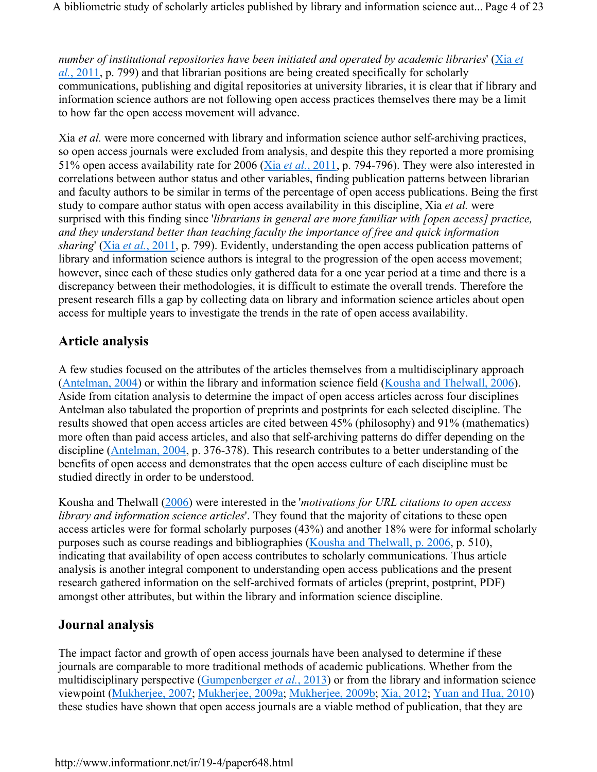A bibliometric study of scholarly articles published by library and information science aut... Page 4 of 23

*number of institutional repositories have been initiated and operated by academic libraries*' (Xia *et al.*, 2011, p. 799) and that librarian positions are being created specifically for scholarly communications, publishing and digital repositories at university libraries, it is clear that if library and information science authors are not following open access practices themselves there may be a limit to how far the open access movement will advance.

Xia *et al.* were more concerned with library and information science author self-archiving practices, so open access journals were excluded from analysis, and despite this they reported a more promising 51% open access availability rate for 2006 (Xia *et al.*, 2011, p. 794-796). They were also interested in correlations between author status and other variables, finding publication patterns between librarian and faculty authors to be similar in terms of the percentage of open access publications. Being the first study to compare author status with open access availability in this discipline, Xia *et al.* were surprised with this finding since '*librarians in general are more familiar with [open access] practice, and they understand better than teaching faculty the importance of free and quick information sharing*' (Xia *et al.*, 2011, p. 799). Evidently, understanding the open access publication patterns of library and information science authors is integral to the progression of the open access movement; however, since each of these studies only gathered data for a one year period at a time and there is a discrepancy between their methodologies, it is difficult to estimate the overall trends. Therefore the present research fills a gap by collecting data on library and information science articles about open access for multiple years to investigate the trends in the rate of open access availability.

#### **Article analysis**

A few studies focused on the attributes of the articles themselves from a multidisciplinary approach (Antelman, 2004) or within the library and information science field (Kousha and Thelwall, 2006). Aside from citation analysis to determine the impact of open access articles across four disciplines Antelman also tabulated the proportion of preprints and postprints for each selected discipline. The results showed that open access articles are cited between 45% (philosophy) and 91% (mathematics) more often than paid access articles, and also that self-archiving patterns do differ depending on the discipline (Antelman, 2004, p. 376-378). This research contributes to a better understanding of the benefits of open access and demonstrates that the open access culture of each discipline must be studied directly in order to be understood.

Kousha and Thelwall (2006) were interested in the '*motivations for URL citations to open access library and information science articles*'. They found that the majority of citations to these open access articles were for formal scholarly purposes (43%) and another 18% were for informal scholarly purposes such as course readings and bibliographies (Kousha and Thelwall, p. 2006, p. 510), indicating that availability of open access contributes to scholarly communications. Thus article analysis is another integral component to understanding open access publications and the present research gathered information on the self-archived formats of articles (preprint, postprint, PDF) amongst other attributes, but within the library and information science discipline.

#### **Journal analysis**

The impact factor and growth of open access journals have been analysed to determine if these journals are comparable to more traditional methods of academic publications. Whether from the multidisciplinary perspective (Gumpenberger *et al.*, 2013) or from the library and information science viewpoint (Mukherjee, 2007; Mukherjee, 2009a; Mukherjee, 2009b; Xia, 2012; Yuan and Hua, 2010) these studies have shown that open access journals are a viable method of publication, that they are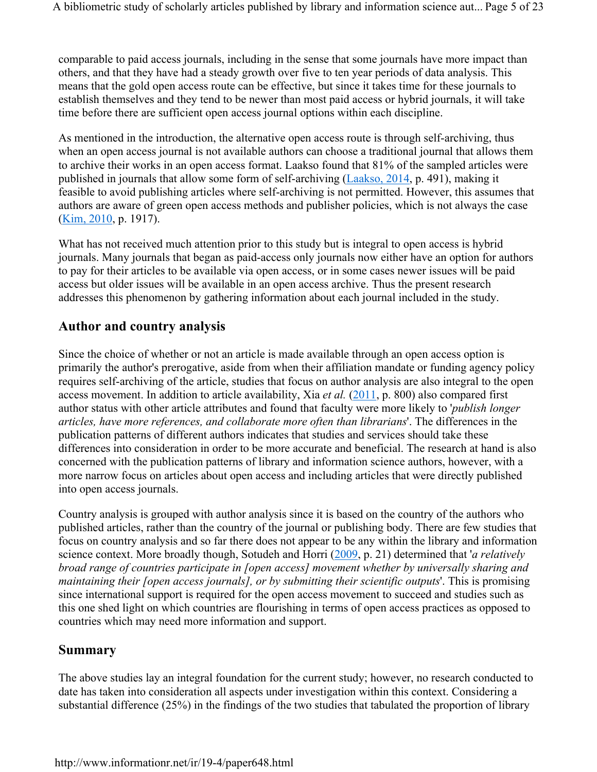comparable to paid access journals, including in the sense that some journals have more impact than others, and that they have had a steady growth over five to ten year periods of data analysis. This means that the gold open access route can be effective, but since it takes time for these journals to establish themselves and they tend to be newer than most paid access or hybrid journals, it will take time before there are sufficient open access journal options within each discipline.

As mentioned in the introduction, the alternative open access route is through self-archiving, thus when an open access journal is not available authors can choose a traditional journal that allows them to archive their works in an open access format. Laakso found that 81% of the sampled articles were published in journals that allow some form of self-archiving (Laakso, 2014, p. 491), making it feasible to avoid publishing articles where self-archiving is not permitted. However, this assumes that authors are aware of green open access methods and publisher policies, which is not always the case (Kim, 2010, p. 1917).

What has not received much attention prior to this study but is integral to open access is hybrid journals. Many journals that began as paid-access only journals now either have an option for authors to pay for their articles to be available via open access, or in some cases newer issues will be paid access but older issues will be available in an open access archive. Thus the present research addresses this phenomenon by gathering information about each journal included in the study.

#### **Author and country analysis**

Since the choice of whether or not an article is made available through an open access option is primarily the author's prerogative, aside from when their affiliation mandate or funding agency policy requires self-archiving of the article, studies that focus on author analysis are also integral to the open access movement. In addition to article availability, Xia *et al.* (2011, p. 800) also compared first author status with other article attributes and found that faculty were more likely to '*publish longer articles, have more references, and collaborate more often than librarians*'. The differences in the publication patterns of different authors indicates that studies and services should take these differences into consideration in order to be more accurate and beneficial. The research at hand is also concerned with the publication patterns of library and information science authors, however, with a more narrow focus on articles about open access and including articles that were directly published into open access journals.

Country analysis is grouped with author analysis since it is based on the country of the authors who published articles, rather than the country of the journal or publishing body. There are few studies that focus on country analysis and so far there does not appear to be any within the library and information science context. More broadly though, Sotudeh and Horri (2009, p. 21) determined that '*a relatively broad range of countries participate in [open access] movement whether by universally sharing and maintaining their [open access journals], or by submitting their scientific outputs*'. This is promising since international support is required for the open access movement to succeed and studies such as this one shed light on which countries are flourishing in terms of open access practices as opposed to countries which may need more information and support.

#### **Summary**

The above studies lay an integral foundation for the current study; however, no research conducted to date has taken into consideration all aspects under investigation within this context. Considering a substantial difference (25%) in the findings of the two studies that tabulated the proportion of library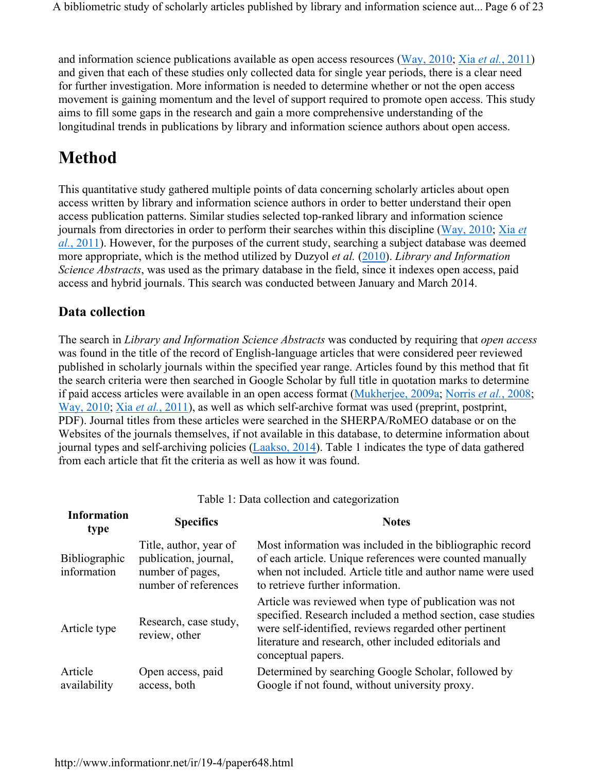and information science publications available as open access resources (Way, 2010; Xia *et al.*, 2011) and given that each of these studies only collected data for single year periods, there is a clear need for further investigation. More information is needed to determine whether or not the open access movement is gaining momentum and the level of support required to promote open access. This study aims to fill some gaps in the research and gain a more comprehensive understanding of the longitudinal trends in publications by library and information science authors about open access.

# **Method**

This quantitative study gathered multiple points of data concerning scholarly articles about open access written by library and information science authors in order to better understand their open access publication patterns. Similar studies selected top-ranked library and information science journals from directories in order to perform their searches within this discipline (Way, 2010; Xia *et al.*, 2011). However, for the purposes of the current study, searching a subject database was deemed more appropriate, which is the method utilized by Duzyol *et al.* (2010). *Library and Information Science Abstracts*, was used as the primary database in the field, since it indexes open access, paid access and hybrid journals. This search was conducted between January and March 2014.

#### **Data collection**

The search in *Library and Information Science Abstracts* was conducted by requiring that *open access* was found in the title of the record of English-language articles that were considered peer reviewed published in scholarly journals within the specified year range. Articles found by this method that fit the search criteria were then searched in Google Scholar by full title in quotation marks to determine if paid access articles were available in an open access format (Mukherjee, 2009a; Norris *et al.*, 2008; Way, 2010; Xia *et al.*, 2011), as well as which self-archive format was used (preprint, postprint, PDF). Journal titles from these articles were searched in the SHERPA/RoMEO database or on the Websites of the journals themselves, if not available in this database, to determine information about journal types and self-archiving policies (Laakso, 2014). Table 1 indicates the type of data gathered from each article that fit the criteria as well as how it was found.

| <b>Information</b><br>type          | <b>Specifics</b>                                                                            | <b>Notes</b>                                                                                                                                                                                                                                                   |
|-------------------------------------|---------------------------------------------------------------------------------------------|----------------------------------------------------------------------------------------------------------------------------------------------------------------------------------------------------------------------------------------------------------------|
| <b>Bibliographic</b><br>information | Title, author, year of<br>publication, journal,<br>number of pages,<br>number of references | Most information was included in the bibliographic record<br>of each article. Unique references were counted manually<br>when not included. Article title and author name were used<br>to retrieve further information.                                        |
| Article type                        | Research, case study,<br>review, other                                                      | Article was reviewed when type of publication was not<br>specified. Research included a method section, case studies<br>were self-identified, reviews regarded other pertinent<br>literature and research, other included editorials and<br>conceptual papers. |
| Article<br>availability             | Open access, paid<br>access, both                                                           | Determined by searching Google Scholar, followed by<br>Google if not found, without university proxy.                                                                                                                                                          |

Table 1: Data collection and categorization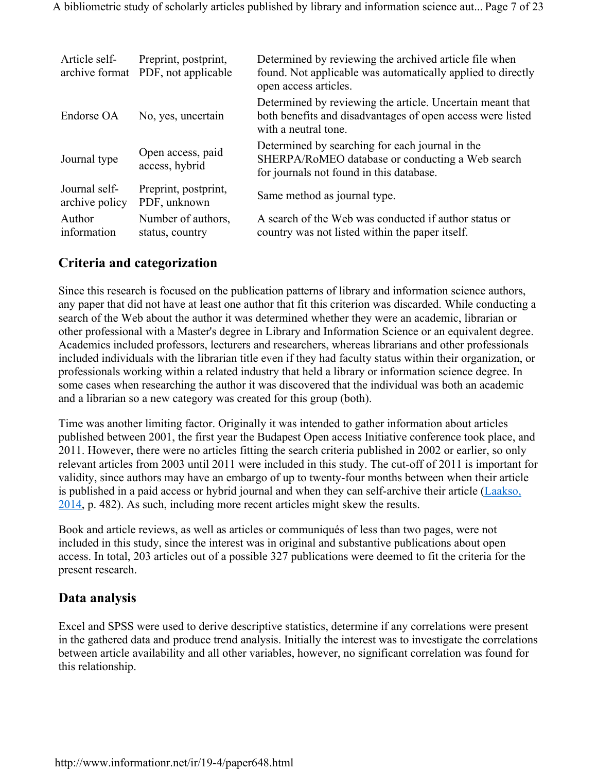| Article self-<br>archive format | Preprint, postprint,<br>PDF, not applicable | Determined by reviewing the archived article file when<br>found. Not applicable was automatically applied to directly<br>open access articles.  |
|---------------------------------|---------------------------------------------|-------------------------------------------------------------------------------------------------------------------------------------------------|
| Endorse OA                      | No, yes, uncertain                          | Determined by reviewing the article. Uncertain meant that<br>both benefits and disadvantages of open access were listed<br>with a neutral tone. |
| Journal type                    | Open access, paid<br>access, hybrid         | Determined by searching for each journal in the<br>SHERPA/RoMEO database or conducting a Web search<br>for journals not found in this database. |
| Journal self-<br>archive policy | Preprint, postprint,<br>PDF, unknown        | Same method as journal type.                                                                                                                    |
| Author<br>information           | Number of authors,<br>status, country       | A search of the Web was conducted if author status or<br>country was not listed within the paper itself.                                        |

#### **Criteria and categorization**

Since this research is focused on the publication patterns of library and information science authors, any paper that did not have at least one author that fit this criterion was discarded. While conducting a search of the Web about the author it was determined whether they were an academic, librarian or other professional with a Master's degree in Library and Information Science or an equivalent degree. Academics included professors, lecturers and researchers, whereas librarians and other professionals included individuals with the librarian title even if they had faculty status within their organization, or professionals working within a related industry that held a library or information science degree. In some cases when researching the author it was discovered that the individual was both an academic and a librarian so a new category was created for this group (both).

Time was another limiting factor. Originally it was intended to gather information about articles published between 2001, the first year the Budapest Open access Initiative conference took place, and 2011. However, there were no articles fitting the search criteria published in 2002 or earlier, so only relevant articles from 2003 until 2011 were included in this study. The cut-off of 2011 is important for validity, since authors may have an embargo of up to twenty-four months between when their article is published in a paid access or hybrid journal and when they can self-archive their article (Laakso, 2014, p. 482). As such, including more recent articles might skew the results.

Book and article reviews, as well as articles or communiqués of less than two pages, were not included in this study, since the interest was in original and substantive publications about open access. In total, 203 articles out of a possible 327 publications were deemed to fit the criteria for the present research.

#### **Data analysis**

Excel and SPSS were used to derive descriptive statistics, determine if any correlations were present in the gathered data and produce trend analysis. Initially the interest was to investigate the correlations between article availability and all other variables, however, no significant correlation was found for this relationship.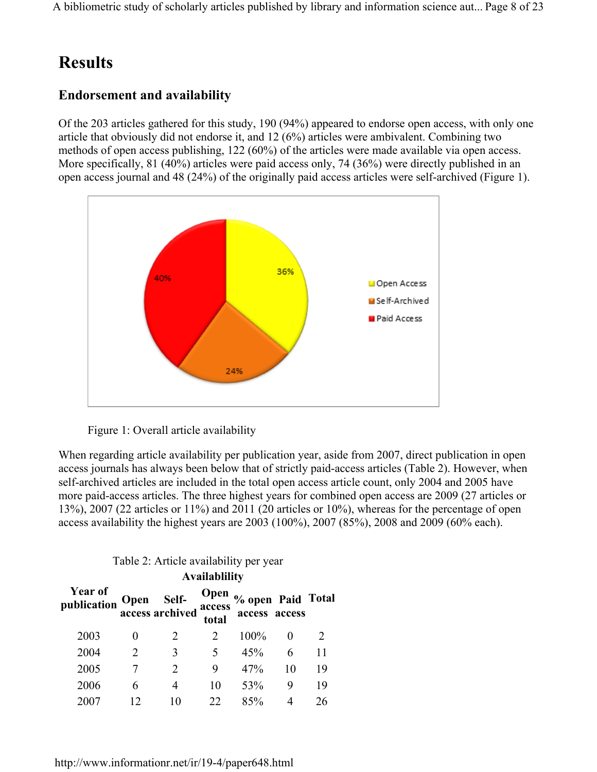A bibliometric study of scholarly articles published by library and information science aut... Page 8 of 23

## **Results**

#### **Endorsement and availability**

Of the 203 articles gathered for this study, 190 (94%) appeared to endorse open access, with only one article that obviously did not endorse it, and 12 (6%) articles were ambivalent. Combining two methods of open access publishing, 122 (60%) of the articles were made available via open access. More specifically, 81 (40%) articles were paid access only, 74 (36%) were directly published in an open access journal and 48 (24%) of the originally paid access articles were self-archived (Figure 1).





When regarding article availability per publication year, aside from 2007, direct publication in open access journals has always been below that of strictly paid-access articles (Table 2). However, when self-archived articles are included in the total open access article count, only 2004 and 2005 have more paid-access articles. The three highest years for combined open access are 2009 (27 articles or 13%), 2007 (22 articles or 11%) and 2011 (20 articles or 10%), whereas for the percentage of open access availability the highest years are 2003 (100%), 2007 (85%), 2008 and 2009 (60% each).

**Availablility**

| Availablility          |                       |                                      |               |                                    |    |    |
|------------------------|-----------------------|--------------------------------------|---------------|------------------------------------|----|----|
| Year of<br>publication |                       | Open Self-<br>access archived access | Open<br>total | % open Paid Total<br>access access |    |    |
| 2003                   | 0                     |                                      |               | 100%                               |    |    |
| 2004                   | $\mathcal{D}_{\cdot}$ | 3                                    | 5             | 45%                                | 6  | 11 |
| 2005                   |                       |                                      | Q             | 47%                                | 10 | 19 |
| 2006                   | 6                     | 4                                    | 10            | 53%                                | 9  | 19 |
| 2007                   |                       |                                      | 22            | 85%                                |    | 26 |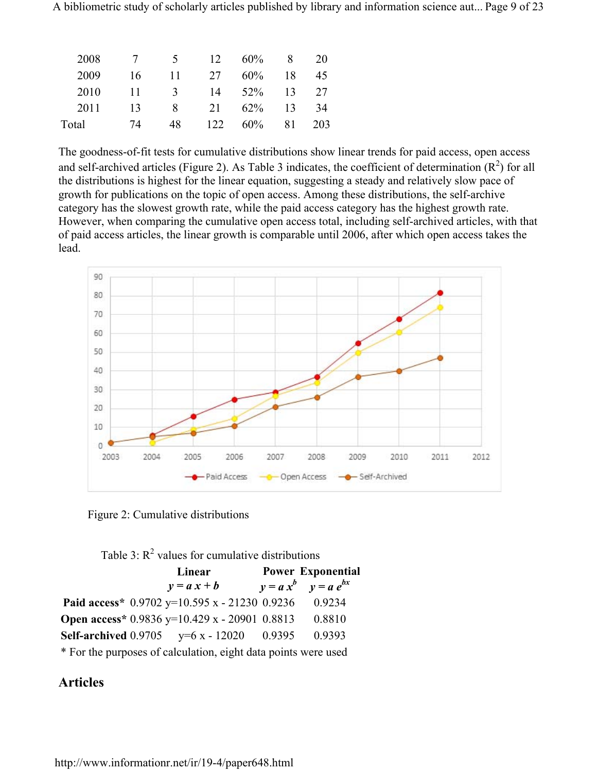A bibliometric study of scholarly articles published by library and information science aut... Page 9 of 23

| 2008  |    | $\mathcal{L}$ | 12   | 60%    | 8  | 20  |
|-------|----|---------------|------|--------|----|-----|
| 2009  | 16 | 11            | 27   | 60%    | 18 | 45  |
| 2010  | 11 | 3             | 14   | $52\%$ | 13 | 27  |
| 2011  | 13 | 8             | 21   | 62%    | 13 | 34  |
| Total | 74 | 48            | 122. | 60%    | 81 | 203 |

The goodness-of-fit tests for cumulative distributions show linear trends for paid access, open access and self-archived articles (Figure 2). As Table 3 indicates, the coefficient of determination  $(R^2)$  for all the distributions is highest for the linear equation, suggesting a steady and relatively slow pace of growth for publications on the topic of open access. Among these distributions, the self-archive category has the slowest growth rate, while the paid access category has the highest growth rate. However, when comparing the cumulative open access total, including self-archived articles, with that of paid access articles, the linear growth is comparable until 2006, after which open access takes the lead.



Figure 2: Cumulative distributions

| Table 3: $R^2$ values for cumulative distributions |  |                                                                |  |                            |
|----------------------------------------------------|--|----------------------------------------------------------------|--|----------------------------|
|                                                    |  | Linear                                                         |  | <b>Power Exponential</b>   |
|                                                    |  | $y = a x + b$                                                  |  | $y = a x^b$ $y = a e^{bx}$ |
|                                                    |  | Paid access* $0.9702$ y=10.595 x - 21230 0.9236                |  | 0.9234                     |
|                                                    |  | Open access* $0.9836$ y=10.429 x - 20901 0.8813                |  | 0.8810                     |
|                                                    |  | <b>Self-archived</b> $0.9705$ $y=6x - 12020$ 0.9395            |  | 0.9393                     |
|                                                    |  | * For the purposes of calculation, eight data points were used |  |                            |

#### **Articles**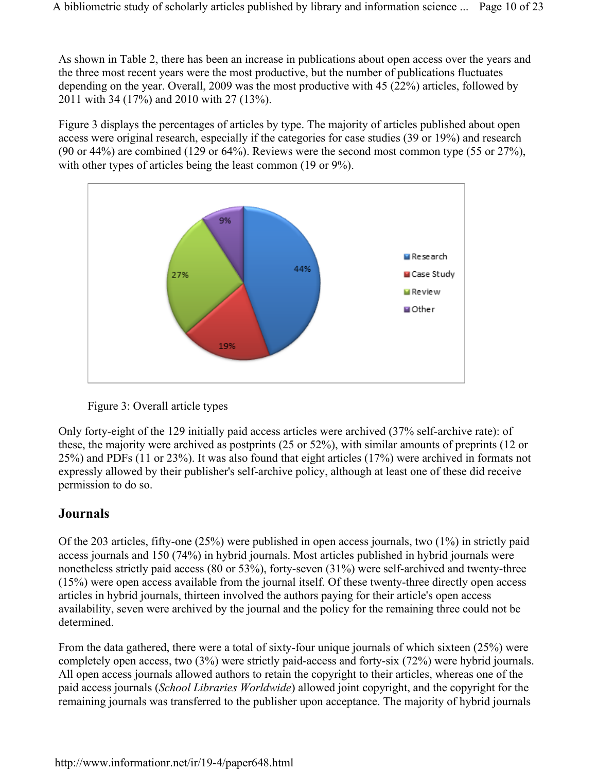As shown in Table 2, there has been an increase in publications about open access over the years and the three most recent years were the most productive, but the number of publications fluctuates depending on the year. Overall, 2009 was the most productive with 45 (22%) articles, followed by 2011 with 34 (17%) and 2010 with 27 (13%).

Figure 3 displays the percentages of articles by type. The majority of articles published about open access were original research, especially if the categories for case studies (39 or 19%) and research (90 or 44%) are combined (129 or 64%). Reviews were the second most common type (55 or 27%), with other types of articles being the least common (19 or 9%).





Only forty-eight of the 129 initially paid access articles were archived (37% self-archive rate): of these, the majority were archived as postprints (25 or 52%), with similar amounts of preprints (12 or 25%) and PDFs (11 or 23%). It was also found that eight articles (17%) were archived in formats not expressly allowed by their publisher's self-archive policy, although at least one of these did receive permission to do so.

#### **Journals**

Of the 203 articles, fifty-one (25%) were published in open access journals, two (1%) in strictly paid access journals and 150 (74%) in hybrid journals. Most articles published in hybrid journals were nonetheless strictly paid access (80 or 53%), forty-seven (31%) were self-archived and twenty-three (15%) were open access available from the journal itself. Of these twenty-three directly open access articles in hybrid journals, thirteen involved the authors paying for their article's open access availability, seven were archived by the journal and the policy for the remaining three could not be determined.

From the data gathered, there were a total of sixty-four unique journals of which sixteen (25%) were completely open access, two (3%) were strictly paid-access and forty-six (72%) were hybrid journals. All open access journals allowed authors to retain the copyright to their articles, whereas one of the paid access journals (*School Libraries Worldwide*) allowed joint copyright, and the copyright for the remaining journals was transferred to the publisher upon acceptance. The majority of hybrid journals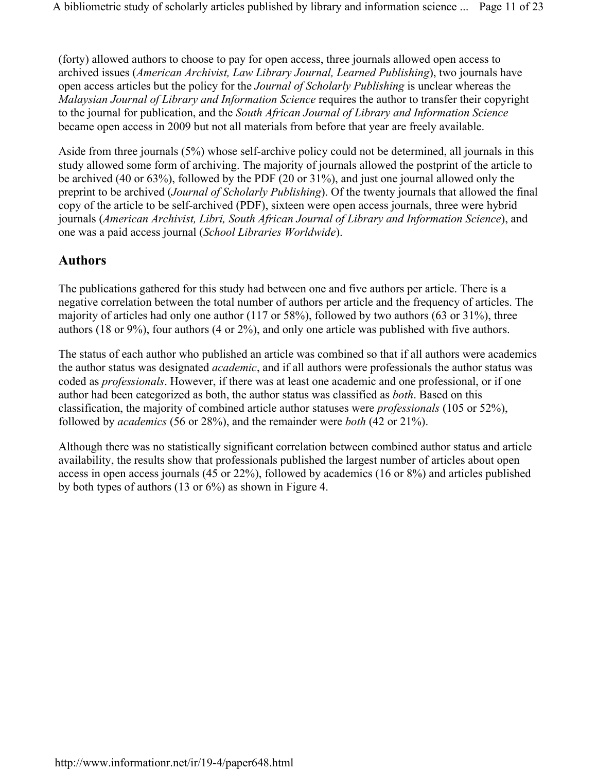(forty) allowed authors to choose to pay for open access, three journals allowed open access to archived issues (*American Archivist, Law Library Journal, Learned Publishing*), two journals have open access articles but the policy for the *Journal of Scholarly Publishing* is unclear whereas the *Malaysian Journal of Library and Information Science* requires the author to transfer their copyright to the journal for publication, and the *South African Journal of Library and Information Science* became open access in 2009 but not all materials from before that year are freely available.

Aside from three journals (5%) whose self-archive policy could not be determined, all journals in this study allowed some form of archiving. The majority of journals allowed the postprint of the article to be archived (40 or 63%), followed by the PDF (20 or 31%), and just one journal allowed only the preprint to be archived (*Journal of Scholarly Publishing*). Of the twenty journals that allowed the final copy of the article to be self-archived (PDF), sixteen were open access journals, three were hybrid journals (*American Archivist, Libri, South African Journal of Library and Information Science*), and one was a paid access journal (*School Libraries Worldwide*).

#### **Authors**

The publications gathered for this study had between one and five authors per article. There is a negative correlation between the total number of authors per article and the frequency of articles. The majority of articles had only one author (117 or 58%), followed by two authors (63 or 31%), three authors (18 or 9%), four authors (4 or 2%), and only one article was published with five authors.

The status of each author who published an article was combined so that if all authors were academics the author status was designated *academic*, and if all authors were professionals the author status was coded as *professionals*. However, if there was at least one academic and one professional, or if one author had been categorized as both, the author status was classified as *both*. Based on this classification, the majority of combined article author statuses were *professionals* (105 or 52%), followed by *academics* (56 or 28%), and the remainder were *both* (42 or 21%).

Although there was no statistically significant correlation between combined author status and article availability, the results show that professionals published the largest number of articles about open access in open access journals (45 or 22%), followed by academics (16 or 8%) and articles published by both types of authors (13 or 6%) as shown in Figure 4.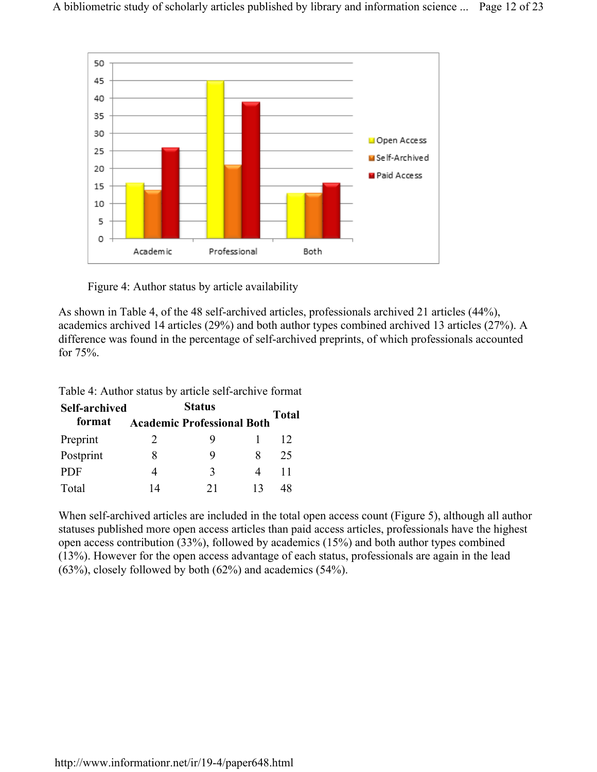

Figure 4: Author status by article availability

As shown in Table 4, of the 48 self-archived articles, professionals archived 21 articles (44%), academics archived 14 articles (29%) and both author types combined archived 13 articles (27%). A difference was found in the percentage of self-archived preprints, of which professionals accounted for 75%.

Table 4: Author status by article self-archive format

| <b>Self-archived</b> |    |                                   |    |              |
|----------------------|----|-----------------------------------|----|--------------|
| format               |    | <b>Academic Professional Both</b> |    | <b>Total</b> |
| Preprint             | 2  | Q                                 |    | 12           |
| Postprint            | 8  | 9                                 | x  | 25           |
| <b>PDF</b>           |    | 3                                 |    | 11           |
| Total                | 14 | 21                                | 13 | 48           |

When self-archived articles are included in the total open access count (Figure 5), although all author statuses published more open access articles than paid access articles, professionals have the highest open access contribution (33%), followed by academics (15%) and both author types combined (13%). However for the open access advantage of each status, professionals are again in the lead (63%), closely followed by both (62%) and academics (54%).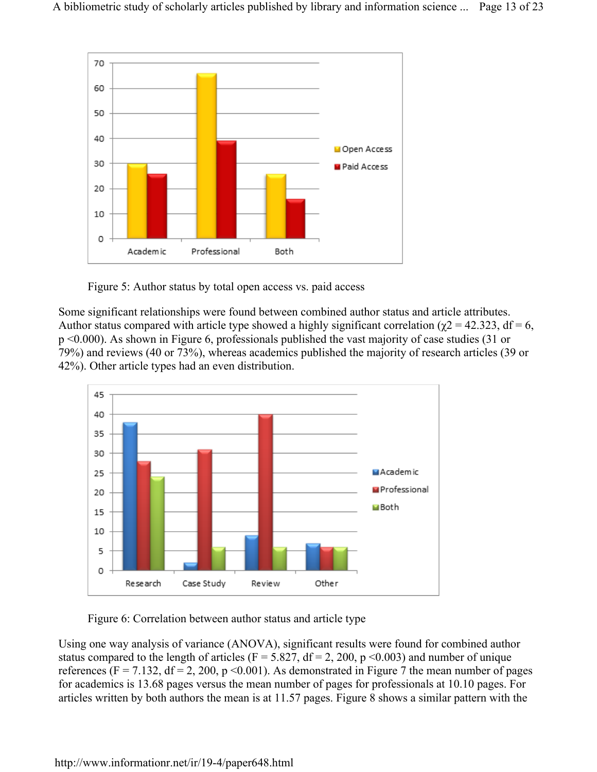

Figure 5: Author status by total open access vs. paid access

Some significant relationships were found between combined author status and article attributes. Author status compared with article type showed a highly significant correlation ( $\chi$ 2 = 42.323, df = 6, p <0.000). As shown in Figure 6, professionals published the vast majority of case studies (31 or 79%) and reviews (40 or 73%), whereas academics published the majority of research articles (39 or 42%). Other article types had an even distribution.



Figure 6: Correlation between author status and article type

Using one way analysis of variance (ANOVA), significant results were found for combined author status compared to the length of articles ( $F = 5.827$ ,  $df = 2$ , 200, p <0.003) and number of unique references (F = 7.132, df = 2, 200, p < 0.001). As demonstrated in Figure 7 the mean number of pages for academics is 13.68 pages versus the mean number of pages for professionals at 10.10 pages. For articles written by both authors the mean is at 11.57 pages. Figure 8 shows a similar pattern with the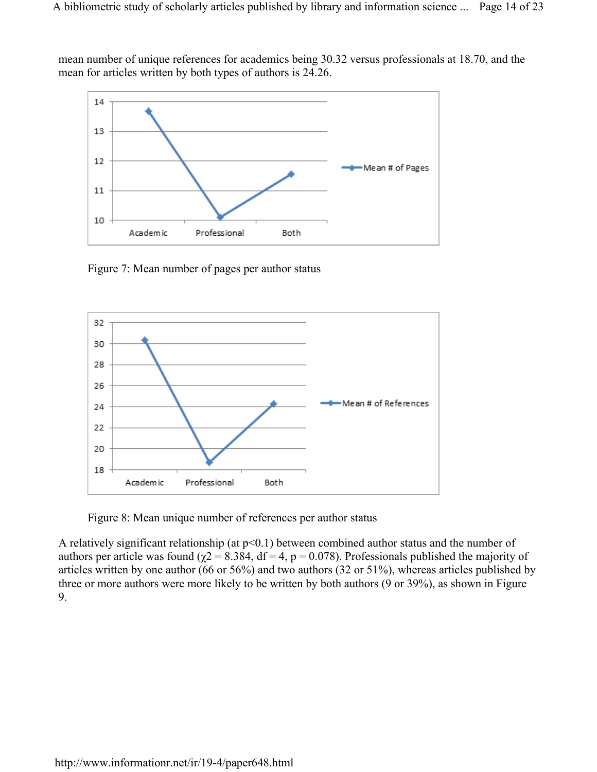mean number of unique references for academics being 30.32 versus professionals at 18.70, and the mean for articles written by both types of authors is 24.26.



Figure 7: Mean number of pages per author status



Figure 8: Mean unique number of references per author status

A relatively significant relationship (at  $p<0.1$ ) between combined author status and the number of authors per article was found ( $χ$ 2 = 8.384, df = 4, p = 0.078). Professionals published the majority of articles written by one author (66 or 56%) and two authors (32 or 51%), whereas articles published by three or more authors were more likely to be written by both authors (9 or 39%), as shown in Figure 9.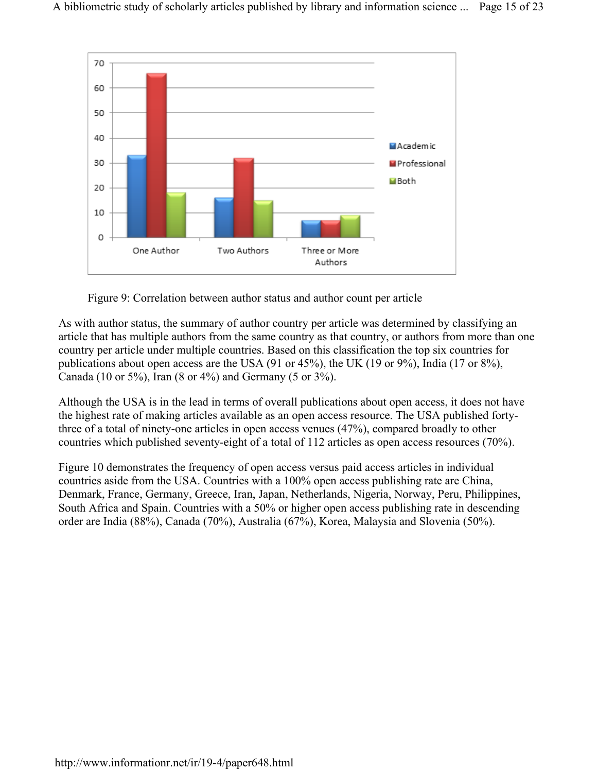

Figure 9: Correlation between author status and author count per article

As with author status, the summary of author country per article was determined by classifying an article that has multiple authors from the same country as that country, or authors from more than one country per article under multiple countries. Based on this classification the top six countries for publications about open access are the USA (91 or 45%), the UK (19 or 9%), India (17 or 8%), Canada (10 or 5%), Iran (8 or 4%) and Germany (5 or 3%).

Although the USA is in the lead in terms of overall publications about open access, it does not have the highest rate of making articles available as an open access resource. The USA published fortythree of a total of ninety-one articles in open access venues (47%), compared broadly to other countries which published seventy-eight of a total of 112 articles as open access resources (70%).

Figure 10 demonstrates the frequency of open access versus paid access articles in individual countries aside from the USA. Countries with a 100% open access publishing rate are China, Denmark, France, Germany, Greece, Iran, Japan, Netherlands, Nigeria, Norway, Peru, Philippines, South Africa and Spain. Countries with a 50% or higher open access publishing rate in descending order are India (88%), Canada (70%), Australia (67%), Korea, Malaysia and Slovenia (50%).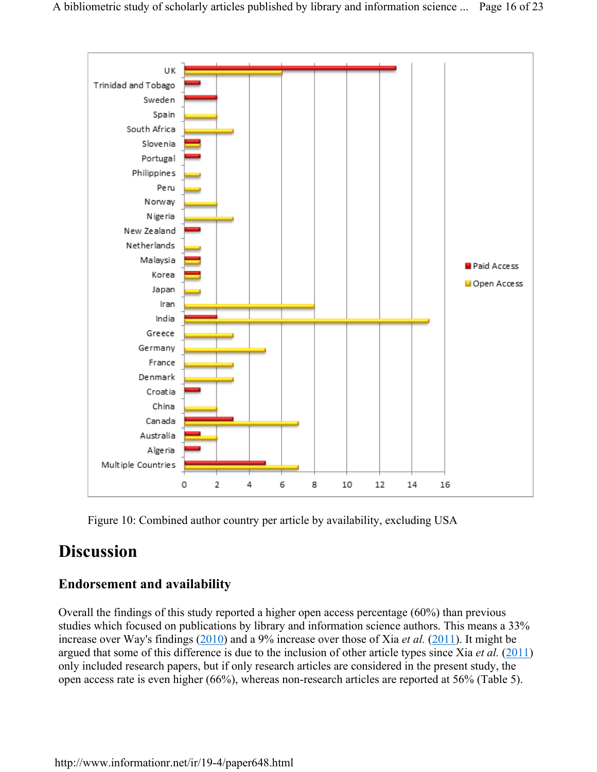

Figure 10: Combined author country per article by availability, excluding USA

### **Discussion**

#### **Endorsement and availability**

Overall the findings of this study reported a higher open access percentage (60%) than previous studies which focused on publications by library and information science authors. This means a 33% increase over Way's findings (2010) and a 9% increase over those of Xia *et al.* (2011). It might be argued that some of this difference is due to the inclusion of other article types since Xia *et al.* (2011) only included research papers, but if only research articles are considered in the present study, the open access rate is even higher (66%), whereas non-research articles are reported at 56% (Table 5).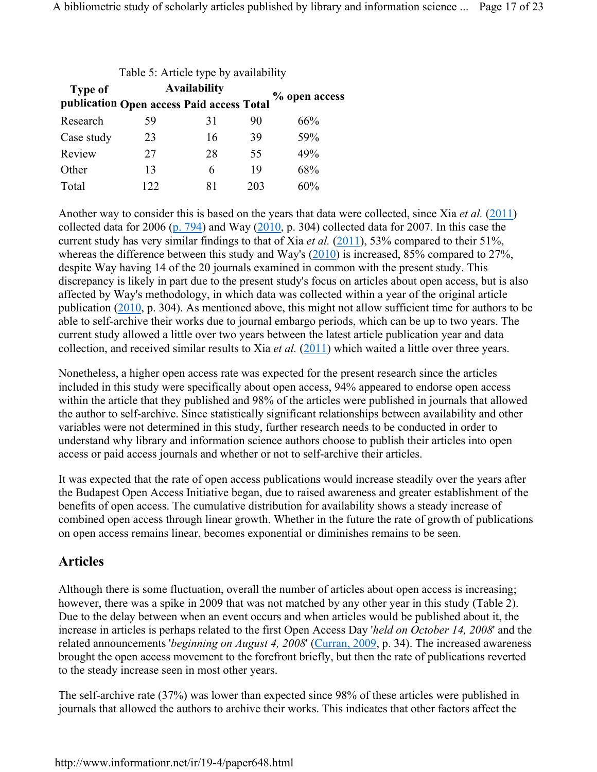| Table 5: Article type by availability |                                                                  |    |     |               |  |
|---------------------------------------|------------------------------------------------------------------|----|-----|---------------|--|
| <b>Type of</b>                        | <b>Availability</b><br>publication Open access Paid access Total |    |     | % open access |  |
|                                       |                                                                  |    |     |               |  |
| Research                              | 59                                                               | 31 | 90  | 66%           |  |
| Case study                            | 23                                                               | 16 | 39  | 59%           |  |
| Review                                | 27                                                               | 28 | 55  | 49%           |  |
| Other                                 | 13                                                               | 6  | 19  | 68%           |  |
| Total                                 | 122                                                              | 81 | 203 | 60%           |  |

Another way to consider this is based on the years that data were collected, since Xia *et al.* (2011) collected data for 2006 (p. 794) and Way (2010, p. 304) collected data for 2007. In this case the current study has very similar findings to that of Xia *et al.* (2011), 53% compared to their 51%, whereas the difference between this study and Way's (2010) is increased, 85% compared to 27%, despite Way having 14 of the 20 journals examined in common with the present study. This discrepancy is likely in part due to the present study's focus on articles about open access, but is also affected by Way's methodology, in which data was collected within a year of the original article publication (2010, p. 304). As mentioned above, this might not allow sufficient time for authors to be able to self-archive their works due to journal embargo periods, which can be up to two years. The current study allowed a little over two years between the latest article publication year and data collection, and received similar results to Xia *et al.* (2011) which waited a little over three years.

Nonetheless, a higher open access rate was expected for the present research since the articles included in this study were specifically about open access, 94% appeared to endorse open access within the article that they published and 98% of the articles were published in journals that allowed the author to self-archive. Since statistically significant relationships between availability and other variables were not determined in this study, further research needs to be conducted in order to understand why library and information science authors choose to publish their articles into open access or paid access journals and whether or not to self-archive their articles.

It was expected that the rate of open access publications would increase steadily over the years after the Budapest Open Access Initiative began, due to raised awareness and greater establishment of the benefits of open access. The cumulative distribution for availability shows a steady increase of combined open access through linear growth. Whether in the future the rate of growth of publications on open access remains linear, becomes exponential or diminishes remains to be seen.

#### **Articles**

Although there is some fluctuation, overall the number of articles about open access is increasing; however, there was a spike in 2009 that was not matched by any other year in this study (Table 2). Due to the delay between when an event occurs and when articles would be published about it, the increase in articles is perhaps related to the first Open Access Day '*held on October 14, 2008*' and the related announcements *'beginning on August 4, 2008'* (Curran, 2009, p. 34). The increased awareness brought the open access movement to the forefront briefly, but then the rate of publications reverted to the steady increase seen in most other years.

The self-archive rate (37%) was lower than expected since 98% of these articles were published in journals that allowed the authors to archive their works. This indicates that other factors affect the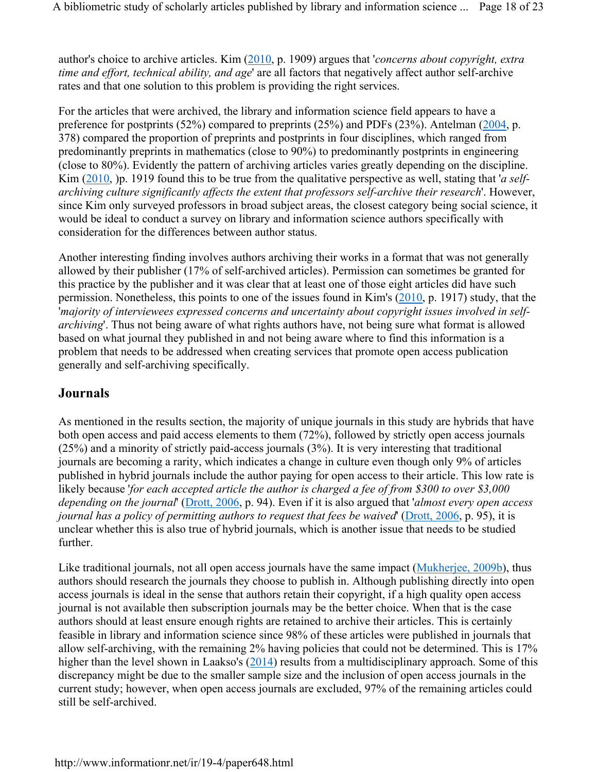author's choice to archive articles. Kim (2010, p. 1909) argues that '*concerns about copyright, extra time and effort, technical ability, and age*' are all factors that negatively affect author self-archive rates and that one solution to this problem is providing the right services.

For the articles that were archived, the library and information science field appears to have a preference for postprints (52%) compared to preprints (25%) and PDFs (23%). Antelman (2004, p. 378) compared the proportion of preprints and postprints in four disciplines, which ranged from predominantly preprints in mathematics (close to 90%) to predominantly postprints in engineering (close to 80%). Evidently the pattern of archiving articles varies greatly depending on the discipline. Kim (2010, )p. 1919 found this to be true from the qualitative perspective as well, stating that '*a selfarchiving culture significantly affects the extent that professors self-archive their research*'. However, since Kim only surveyed professors in broad subject areas, the closest category being social science, it would be ideal to conduct a survey on library and information science authors specifically with consideration for the differences between author status.

Another interesting finding involves authors archiving their works in a format that was not generally allowed by their publisher (17% of self-archived articles). Permission can sometimes be granted for this practice by the publisher and it was clear that at least one of those eight articles did have such permission. Nonetheless, this points to one of the issues found in Kim's (2010, p. 1917) study, that the '*majority of interviewees expressed concerns and uncertainty about copyright issues involved in selfarchiving*'. Thus not being aware of what rights authors have, not being sure what format is allowed based on what journal they published in and not being aware where to find this information is a problem that needs to be addressed when creating services that promote open access publication generally and self-archiving specifically.

#### **Journals**

As mentioned in the results section, the majority of unique journals in this study are hybrids that have both open access and paid access elements to them (72%), followed by strictly open access journals (25%) and a minority of strictly paid-access journals (3%). It is very interesting that traditional journals are becoming a rarity, which indicates a change in culture even though only 9% of articles published in hybrid journals include the author paying for open access to their article. This low rate is likely because '*for each accepted article the author is charged a fee of from \$300 to over \$3,000 depending on the journal*' (Drott, 2006, p. 94). Even if it is also argued that '*almost every open access journal has a policy of permitting authors to request that fees be waived*' (Drott, 2006, p. 95), it is unclear whether this is also true of hybrid journals, which is another issue that needs to be studied further.

Like traditional journals, not all open access journals have the same impact (Mukherjee, 2009b), thus authors should research the journals they choose to publish in. Although publishing directly into open access journals is ideal in the sense that authors retain their copyright, if a high quality open access journal is not available then subscription journals may be the better choice. When that is the case authors should at least ensure enough rights are retained to archive their articles. This is certainly feasible in library and information science since 98% of these articles were published in journals that allow self-archiving, with the remaining 2% having policies that could not be determined. This is 17% higher than the level shown in Laakso's (2014) results from a multidisciplinary approach. Some of this discrepancy might be due to the smaller sample size and the inclusion of open access journals in the current study; however, when open access journals are excluded, 97% of the remaining articles could still be self-archived.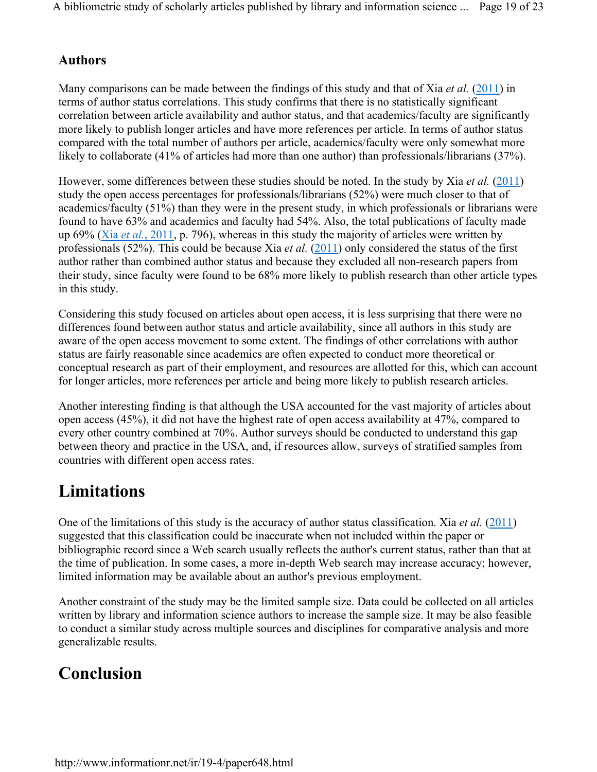#### **Authors**

Many comparisons can be made between the findings of this study and that of Xia *et al.* (2011) in terms of author status correlations. This study confirms that there is no statistically significant correlation between article availability and author status, and that academics/faculty are significantly more likely to publish longer articles and have more references per article. In terms of author status compared with the total number of authors per article, academics/faculty were only somewhat more likely to collaborate (41% of articles had more than one author) than professionals/librarians (37%).

However, some differences between these studies should be noted. In the study by Xia *et al.* (2011) study the open access percentages for professionals/librarians (52%) were much closer to that of academics/faculty (51%) than they were in the present study, in which professionals or librarians were found to have 63% and academics and faculty had 54%. Also, the total publications of faculty made up 69% (Xia *et al.*, 2011, p. 796), whereas in this study the majority of articles were written by professionals (52%). This could be because Xia *et al.* (2011) only considered the status of the first author rather than combined author status and because they excluded all non-research papers from their study, since faculty were found to be 68% more likely to publish research than other article types in this study.

Considering this study focused on articles about open access, it is less surprising that there were no differences found between author status and article availability, since all authors in this study are aware of the open access movement to some extent. The findings of other correlations with author status are fairly reasonable since academics are often expected to conduct more theoretical or conceptual research as part of their employment, and resources are allotted for this, which can account for longer articles, more references per article and being more likely to publish research articles.

Another interesting finding is that although the USA accounted for the vast majority of articles about open access (45%), it did not have the highest rate of open access availability at 47%, compared to every other country combined at 70%. Author surveys should be conducted to understand this gap between theory and practice in the USA, and, if resources allow, surveys of stratified samples from countries with different open access rates.

# **Limitations**

One of the limitations of this study is the accuracy of author status classification. Xia *et al.* (2011) suggested that this classification could be inaccurate when not included within the paper or bibliographic record since a Web search usually reflects the author's current status, rather than that at the time of publication. In some cases, a more in-depth Web search may increase accuracy; however, limited information may be available about an author's previous employment.

Another constraint of the study may be the limited sample size. Data could be collected on all articles written by library and information science authors to increase the sample size. It may be also feasible to conduct a similar study across multiple sources and disciplines for comparative analysis and more generalizable results.

# **Conclusion**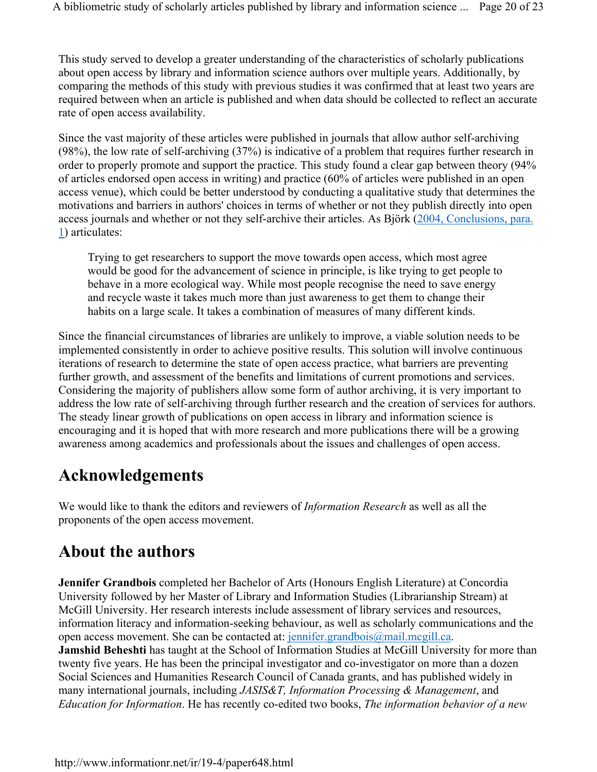This study served to develop a greater understanding of the characteristics of scholarly publications about open access by library and information science authors over multiple years. Additionally, by comparing the methods of this study with previous studies it was confirmed that at least two years are required between when an article is published and when data should be collected to reflect an accurate rate of open access availability.

Since the vast majority of these articles were published in journals that allow author self-archiving (98%), the low rate of self-archiving (37%) is indicative of a problem that requires further research in order to properly promote and support the practice. This study found a clear gap between theory (94% of articles endorsed open access in writing) and practice (60% of articles were published in an open access venue), which could be better understood by conducting a qualitative study that determines the motivations and barriers in authors' choices in terms of whether or not they publish directly into open access journals and whether or not they self-archive their articles. As Björk (2004, Conclusions, para. 1) articulates:

Trying to get researchers to support the move towards open access, which most agree would be good for the advancement of science in principle, is like trying to get people to behave in a more ecological way. While most people recognise the need to save energy and recycle waste it takes much more than just awareness to get them to change their habits on a large scale. It takes a combination of measures of many different kinds.

Since the financial circumstances of libraries are unlikely to improve, a viable solution needs to be implemented consistently in order to achieve positive results. This solution will involve continuous iterations of research to determine the state of open access practice, what barriers are preventing further growth, and assessment of the benefits and limitations of current promotions and services. Considering the majority of publishers allow some form of author archiving, it is very important to address the low rate of self-archiving through further research and the creation of services for authors. The steady linear growth of publications on open access in library and information science is encouraging and it is hoped that with more research and more publications there will be a growing awareness among academics and professionals about the issues and challenges of open access.

# **Acknowledgements**

We would like to thank the editors and reviewers of *Information Research* as well as all the proponents of the open access movement.

# **About the authors**

**Jennifer Grandbois** completed her Bachelor of Arts (Honours English Literature) at Concordia University followed by her Master of Library and Information Studies (Librarianship Stream) at McGill University. Her research interests include assessment of library services and resources, information literacy and information-seeking behaviour, as well as scholarly communications and the open access movement. She can be contacted at: jennifer.grandbois@mail.mcgill.ca. **Jamshid Beheshti** has taught at the School of Information Studies at McGill University for more than twenty five years. He has been the principal investigator and co-investigator on more than a dozen Social Sciences and Humanities Research Council of Canada grants, and has published widely in many international journals, including *JASIS&T, Information Processing & Management*, and *Education for Information*. He has recently co-edited two books, *The information behavior of a new*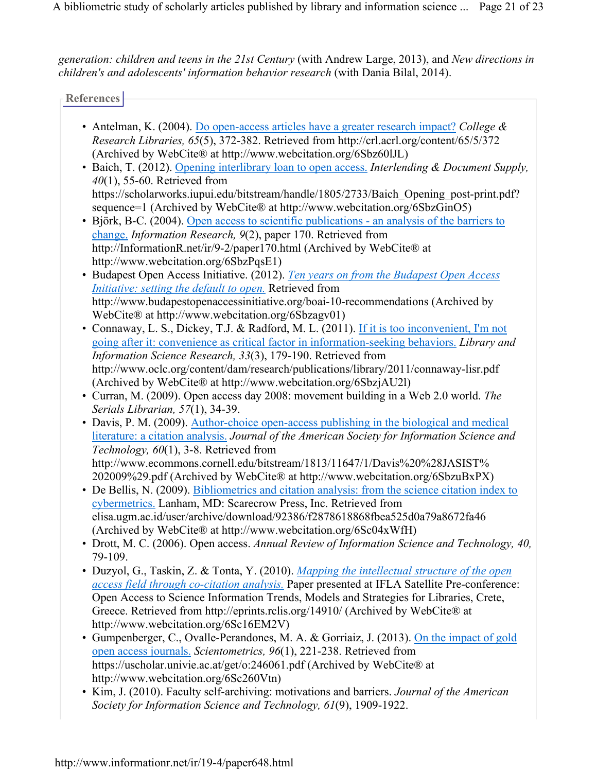*generation: children and teens in the 21st Century* (with Andrew Large, 2013), and *New directions in children's and adolescents' information behavior research* (with Dania Bilal, 2014).

**References**

- Antelman, K. (2004). Do open-access articles have a greater research impact? *College & Research Libraries, 65*(5), 372-382. Retrieved from http://crl.acrl.org/content/65/5/372 (Archived by WebCite® at http://www.webcitation.org/6Sbz60lJL)
- Baich, T. (2012). Opening interlibrary loan to open access. *Interlending & Document Supply, 40*(1), 55-60. Retrieved from https://scholarworks.iupui.edu/bitstream/handle/1805/2733/Baich\_Opening\_post-print.pdf? sequence=1 (Archived by WebCite® at http://www.webcitation.org/6SbzGinO5)
- Björk, B-C. (2004). Open access to scientific publications an analysis of the barriers to change. *Information Research, 9*(2), paper 170. Retrieved from http://InformationR.net/ir/9-2/paper170.html (Archived by WebCite® at http://www.webcitation.org/6SbzPqsE1)
- Budapest Open Access Initiative. (2012). *Ten years on from the Budapest Open Access Initiative: setting the default to open.* Retrieved from http://www.budapestopenaccessinitiative.org/boai-10-recommendations (Archived by WebCite® at http://www.webcitation.org/6Sbzagv01)
- Connaway, L. S., Dickey, T.J. & Radford, M. L. (2011). If it is too inconvenient, I'm not going after it: convenience as critical factor in information-seeking behaviors. *Library and Information Science Research, 33*(3), 179-190. Retrieved from http://www.oclc.org/content/dam/research/publications/library/2011/connaway-lisr.pdf (Archived by WebCite® at http://www.webcitation.org/6SbzjAU2l)
- Curran, M. (2009). Open access day 2008: movement building in a Web 2.0 world. *The Serials Librarian, 57*(1), 34-39.
- Davis, P. M. (2009). Author-choice open-access publishing in the biological and medical literature: a citation analysis. *Journal of the American Society for Information Science and Technology, 60*(1), 3-8. Retrieved from http://www.ecommons.cornell.edu/bitstream/1813/11647/1/Davis%20%28JASIST% 202009%29.pdf (Archived by WebCite® at http://www.webcitation.org/6SbzuBxPX)
- De Bellis, N. (2009). Bibliometrics and citation analysis: from the science citation index to cybermetrics. Lanham, MD: Scarecrow Press, Inc. Retrieved from elisa.ugm.ac.id/user/archive/download/92386/f2878618868fbea525d0a79a8672fa46 (Archived by WebCite® at http://www.webcitation.org/6Sc04xWfH)
- Drott, M. C. (2006). Open access. *Annual Review of Information Science and Technology, 40,* 79-109.
- Duzyol, G., Taskin, Z. & Tonta, Y. (2010). *Mapping the intellectual structure of the open access field through co-citation analysis.* Paper presented at IFLA Satellite Pre-conference: Open Access to Science Information Trends, Models and Strategies for Libraries, Crete, Greece. Retrieved from http://eprints.rclis.org/14910/ (Archived by WebCite® at http://www.webcitation.org/6Sc16EM2V)
- Gumpenberger, C., Ovalle-Perandones, M. A. & Gorriaiz, J. (2013). On the impact of gold open access journals. *Scientometrics, 96*(1), 221-238. Retrieved from https://uscholar.univie.ac.at/get/o:246061.pdf (Archived by WebCite® at http://www.webcitation.org/6Sc260Vtn)
- Kim, J. (2010). Faculty self-archiving: motivations and barriers. *Journal of the American Society for Information Science and Technology, 61*(9), 1909-1922.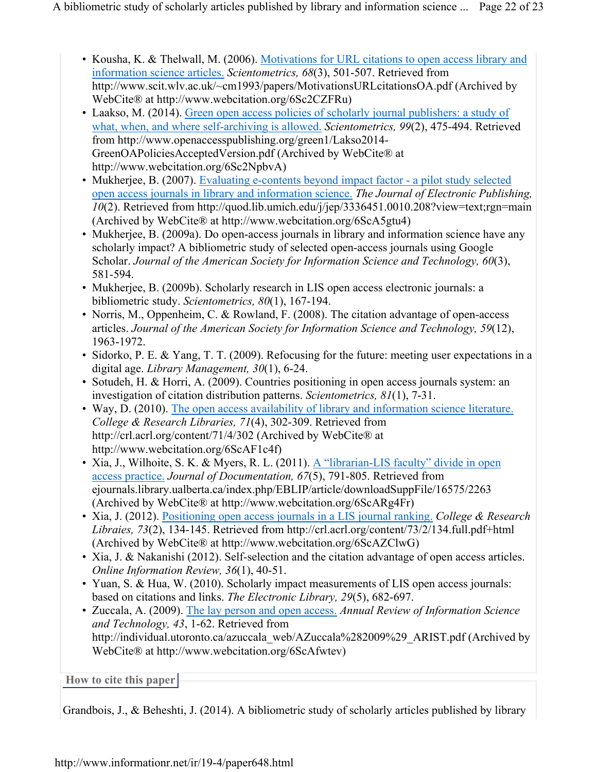- Kousha, K. & Thelwall, M. (2006). Motivations for URL citations to open access library and information science articles. *Scientometrics, 68*(3), 501-507. Retrieved from http://www.scit.wlv.ac.uk/~cm1993/papers/MotivationsURLcitationsOA.pdf (Archived by WebCite® at http://www.webcitation.org/6Sc2CZFRu)
- Laakso, M. (2014). Green open access policies of scholarly journal publishers: a study of what, when, and where self-archiving is allowed. *Scientometrics, 99*(2), 475-494. Retrieved from http://www.openaccesspublishing.org/green1/Lakso2014- GreenOAPoliciesAcceptedVersion.pdf (Archived by WebCite® at http://www.webcitation.org/6Sc2NpbvA)
- Mukherjee, B. (2007). Evaluating e-contents beyond impact factor a pilot study selected open access journals in library and information science. *The Journal of Electronic Publishing, 10*(2). Retrieved from http://quod.lib.umich.edu/j/jep/3336451.0010.208?view=text;rgn=main (Archived by WebCite® at http://www.webcitation.org/6ScA5gtu4)
- Mukherjee, B. (2009a). Do open-access journals in library and information science have any scholarly impact? A bibliometric study of selected open-access journals using Google Scholar. *Journal of the American Society for Information Science and Technology, 60*(3), 581-594.
- Mukherjee, B. (2009b). Scholarly research in LIS open access electronic journals: a bibliometric study. *Scientometrics, 80*(1), 167-194.
- Norris, M., Oppenheim, C. & Rowland, F. (2008). The citation advantage of open-access articles. *Journal of the American Society for Information Science and Technology, 59*(12), 1963-1972.
- Sidorko, P. E. & Yang, T. T. (2009). Refocusing for the future: meeting user expectations in a digital age. *Library Management, 30*(1), 6-24.
- Sotudeh, H. & Horri, A. (2009). Countries positioning in open access journals system: an investigation of citation distribution patterns. *Scientometrics, 81*(1), 7-31.
- Way, D. (2010). The open access availability of library and information science literature. *College & Research Libraries, 71*(4), 302-309. Retrieved from http://crl.acrl.org/content/71/4/302 (Archived by WebCite® at http://www.webcitation.org/6ScAF1c4f)
- Xia, J., Wilhoite, S. K. & Myers, R. L. (2011). A "librarian-LIS faculty" divide in open access practice. *Journal of Documentation, 67*(5), 791-805. Retrieved from ejournals.library.ualberta.ca/index.php/EBLIP/article/downloadSuppFile/16575/2263 (Archived by WebCite® at http://www.webcitation.org/6ScARg4Fr)
- Xia, J. (2012). Positioning open access journals in a LIS journal ranking. *College & Research Libraies, 73*(2), 134-145. Retrieved from http://crl.acrl.org/content/73/2/134.full.pdf+html (Archived by WebCite® at http://www.webcitation.org/6ScAZClwG)
- Xia, J. & Nakanishi (2012). Self-selection and the citation advantage of open access articles. *Online Information Review, 36*(1), 40-51.
- Yuan, S. & Hua, W. (2010). Scholarly impact measurements of LIS open access journals: based on citations and links. *The Electronic Library, 29*(5), 682-697.
- Zuccala, A. (2009). The lay person and open access. *Annual Review of Information Science and Technology, 43*, 1-62. Retrieved from http://individual.utoronto.ca/azuccala\_web/AZuccala%282009%29\_ARIST.pdf (Archived by WebCite® at http://www.webcitation.org/6ScAfwtev)

**How to cite this paper** 

Grandbois, J., & Beheshti, J. (2014). A bibliometric study of scholarly articles published by library